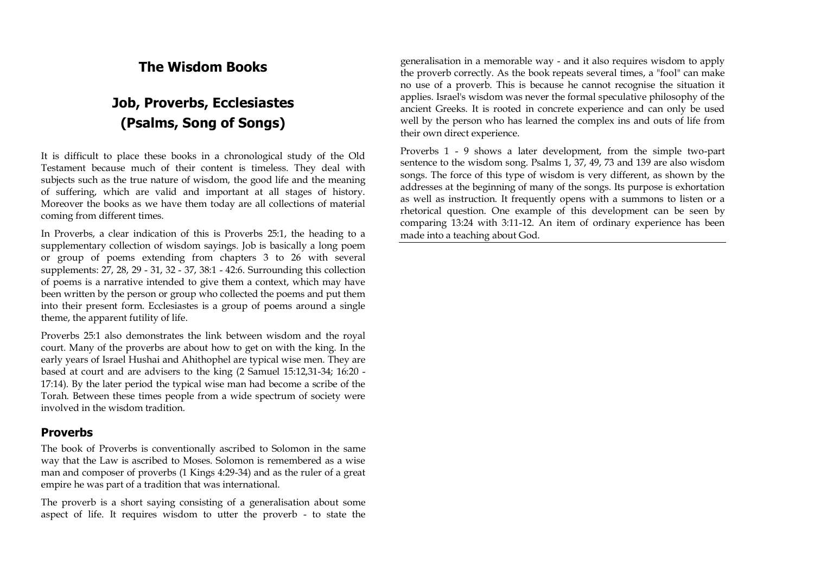## **The Wisdom Books**

# **Job, Proverbs, Ecclesiastes (Psalms, Song of Songs)**

It is difficult to place these books in a chronological study of the Old Testament because much of their content is timeless. They deal with subjects such as the true nature of wisdom, the good life and the meaning of suffering, which are valid and important at all stages of history. Moreover the books as we have them today are all collections of material coming from different times.

In Proverbs, a clear indication of this is Proverbs 25:1, the heading to a supplementary collection of wisdom sayings. Job is basically a long poem or group of poems extending from chapters 3 to 26 with several supplements: 27, 28, 29 - 31, 32 - 37, 38:1 - 42:6. Surrounding this collection of poems is a narrative intended to give them a context, which may have been written by the person or group who collected the poems and put them into their present form. Ecclesiastes is a group of poems around a single theme, the apparent futility of life.

Proverbs 25:1 also demonstrates the link between wisdom and the royal court. Many of the proverbs are about how to get on with the king. In the early years of Israel Hushai and Ahithophel are typical wise men. They are based at court and are advisers to the king (2 Samuel 15:12,31-34; 16:20 - 17:14). By the later period the typical wise man had become a scribe of the Torah. Between these times people from a wide spectrum of society were involved in the wisdom tradition.

#### **Proverbs**

The book of Proverbs is conventionally ascribed to Solomon in the same way that the Law is ascribed to Moses. Solomon is remembered as a wise man and composer of proverbs (1 Kings 4:29-34) and as the ruler of a great empire he was part of a tradition that was international.

The proverb is a short saying consisting of a generalisation about some aspect of life. It requires wisdom to utter the proverb - to state the generalisation in a memorable way - and it also requires wisdom to apply the proverb correctly. As the book repeats several times, a "fool" can make no use of a proverb. This is because he cannot recognise the situation it applies. Israel's wisdom was never the formal speculative philosophy of the ancient Greeks. It is rooted in concrete experience and can only be used well by the person who has learned the complex ins and outs of life from their own direct experience.

Proverbs 1 - 9 shows a later development, from the simple two-part sentence to the wisdom song. Psalms 1, 37, 49, 73 and 139 are also wisdom songs. The force of this type of wisdom is very different, as shown by the addresses at the beginning of many of the songs. Its purpose is exhortation as well as instruction. It frequently opens with a summons to listen or a rhetorical question. One example of this development can be seen by comparing 13:24 with 3:11-12. An item of ordinary experience has been made into a teaching about God.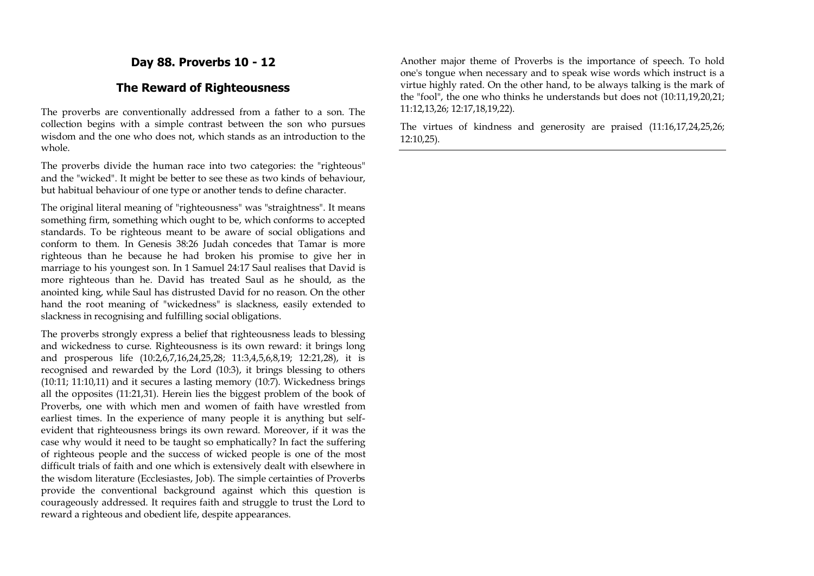## **Day 88. Proverbs 10 - 12**

#### **The Reward of Righteousness**

The proverbs are conventionally addressed from a father to a son. The collection begins with a simple contrast between the son who pursues wisdom and the one who does not, which stands as an introduction to the whole.

The proverbs divide the human race into two categories: the "righteous" and the "wicked". It might be better to see these as two kinds of behaviour, but habitual behaviour of one type or another tends to define character.

The original literal meaning of "righteousness" was "straightness". It means something firm, something which ought to be, which conforms to accepted standards. To be righteous meant to be aware of social obligations and conform to them. In Genesis 38:26 Judah concedes that Tamar is more righteous than he because he had broken his promise to give her in marriage to his youngest son. In 1 Samuel 24:17 Saul realises that David is more righteous than he. David has treated Saul as he should, as the anointed king, while Saul has distrusted David for no reason. On the other hand the root meaning of "wickedness" is slackness, easily extended to slackness in recognising and fulfilling social obligations.

The proverbs strongly express a belief that righteousness leads to blessing and wickedness to curse. Righteousness is its own reward: it brings long and prosperous life (10:2,6,7,16,24,25,28; 11:3,4,5,6,8,19; 12:21,28), it is recognised and rewarded by the Lord (10:3), it brings blessing to others (10:11; 11:10,11) and it secures a lasting memory (10:7). Wickedness brings all the opposites (11:21,31). Herein lies the biggest problem of the book of Proverbs, one with which men and women of faith have wrestled from earliest times. In the experience of many people it is anything but selfevident that righteousness brings its own reward. Moreover, if it was the case why would it need to be taught so emphatically? In fact the suffering of righteous people and the success of wicked people is one of the most difficult trials of faith and one which is extensively dealt with elsewhere in the wisdom literature (Ecclesiastes, Job). The simple certainties of Proverbs provide the conventional background against which this question is courageously addressed. It requires faith and struggle to trust the Lord to reward a righteous and obedient life, despite appearances.

Another major theme of Proverbs is the importance of speech. To hold one's tongue when necessary and to speak wise words which instruct is a virtue highly rated. On the other hand, to be always talking is the mark of the "fool", the one who thinks he understands but does not (10:11,19,20,21; 11:12,13,26; 12:17,18,19,22).

The virtues of kindness and generosity are praised (11:16,17,24,25,26; 12:10,25).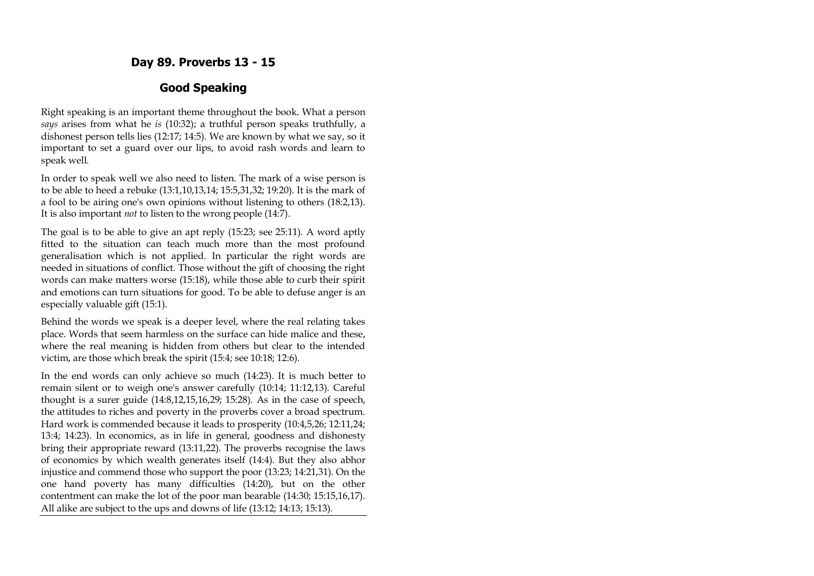## **Day 89. Proverbs 13 - 15**

## **Good Speaking**

Right speaking is an important theme throughout the book. What a person *says* arises from what he *is* (10:32); a truthful person speaks truthfully, a dishonest person tells lies (12:17; 14:5). We are known by what we say, so it important to set a guard over our lips, to avoid rash words and learn to speak well.

In order to speak well we also need to listen. The mark of a wise person is to be able to heed a rebuke (13:1,10,13,14; 15:5,31,32; 19:20). It is the mark of a fool to be airing one's own opinions without listening to others (18:2,13). It is also important *not* to listen to the wrong people (14:7).

The goal is to be able to give an apt reply (15:23; see 25:11). A word aptly fitted to the situation can teach much more than the most profound generalisation which is not applied. In particular the right words are needed in situations of conflict. Those without the gift of choosing the right words can make matters worse (15:18), while those able to curb their spirit and emotions can turn situations for good. To be able to defuse anger is an especially valuable gift (15:1).

Behind the words we speak is a deeper level, where the real relating takes place. Words that seem harmless on the surface can hide malice and these, where the real meaning is hidden from others but clear to the intended victim, are those which break the spirit (15:4; see 10:18; 12:6).

In the end words can only achieve so much (14:23). It is much better to remain silent or to weigh one's answer carefully (10:14; 11:12,13). Careful thought is a surer guide (14:8,12,15,16,29; 15:28). As in the case of speech, the attitudes to riches and poverty in the proverbs cover a broad spectrum. Hard work is commended because it leads to prosperity (10:4,5,26; 12:11,24; 13:4; 14:23). In economics, as in life in general, goodness and dishonesty bring their appropriate reward (13:11,22). The proverbs recognise the laws of economics by which wealth generates itself (14:4). But they also abhor injustice and commend those who support the poor (13:23; 14:21,31). On the one hand poverty has many difficulties (14:20), but on the other contentment can make the lot of the poor man bearable (14:30; 15:15,16,17). All alike are subject to the ups and downs of life (13:12; 14:13; 15:13).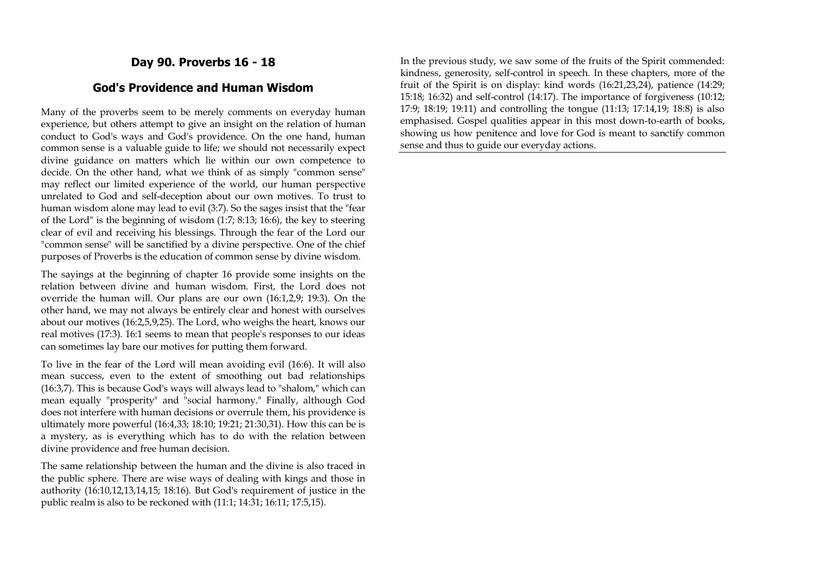## **Day 90. Proverbs 16 - 18**

#### **God's Providence and Human Wisdom**

Many of the proverbs seem to be merely comments on everyday human experience, but others attempt to give an insight on the relation of human conduct to God's ways and God's providence. On the one hand, human common sense is a valuable guide to life; we should not necessarily expect divine guidance on matters which lie within our own competence to decide. On the other hand, what we think of as simply "common sense" may reflect our limited experience of the world, our human perspective unrelated to God and self-deception about our own motives. To trust to human wisdom alone may lead to evil (3:7). So the sages insist that the "fear of the Lord" is the beginning of wisdom (1:7; 8:13; 16:6), the key to steering clear of evil and receiving his blessings. Through the fear of the Lord our "common sense" will be sanctified by a divine perspective. One of the chief purposes of Proverbs is the education of common sense by divine wisdom.

The sayings at the beginning of chapter 16 provide some insights on the relation between divine and human wisdom. First, the Lord does not override the human will. Our plans are our own (16:1,2,9; 19:3). On the other hand, we may not always be entirely clear and honest with ourselves about our motives (16:2,5,9,25). The Lord, who weighs the heart, knows our real motives (17:3). 16:1 seems to mean that people's responses to our ideas can sometimes lay bare our motives for putting them forward.

To live in the fear of the Lord will mean avoiding evil (16:6). It will also mean success, even to the extent of smoothing out bad relationships (16:3,7). This is because God's ways will always lead to "shalom," which can mean equally "prosperity" and "social harmony." Finally, although God does not interfere with human decisions or overrule them, his providence is ultimately more powerful (16:4,33; 18:10; 19:21; 21:30,31). How this can be is a mystery, as is everything which has to do with the relation between divine providence and free human decision.

The same relationship between the human and the divine is also traced in the public sphere. There are wise ways of dealing with kings and those in authority (16:10,12,13,14,15; 18:16). But God's requirement of justice in the public realm is also to be reckoned with (11:1; 14:31; 16:11; 17:5,15).

In the previous study, we saw some of the fruits of the Spirit commended: kindness, generosity, self-control in speech. In these chapters, more of the fruit of the Spirit is on display: kind words (16:21,23,24), patience (14:29; 15:18; 16:32) and self-control (14:17). The importance of forgiveness (10:12; 17:9; 18:19; 19:11) and controlling the tongue (11:13; 17:14,19; 18:8) is also emphasised. Gospel qualities appear in this most down-to-earth of books, showing us how penitence and love for God is meant to sanctify common sense and thus to guide our everyday actions.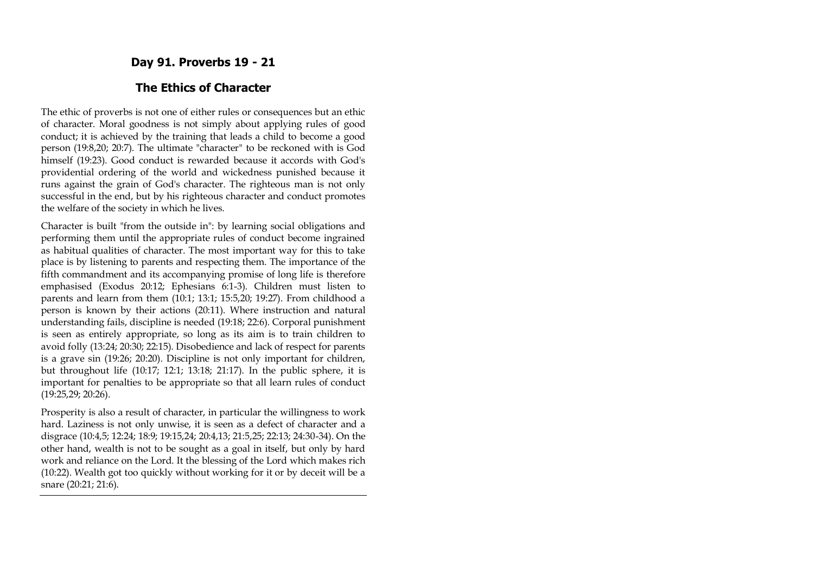## **Day 91. Proverbs 19 - 21**

#### **The Ethics of Character**

The ethic of proverbs is not one of either rules or consequences but an ethic of character. Moral goodness is not simply about applying rules of good conduct; it is achieved by the training that leads a child to become a good person (19:8,20; 20:7). The ultimate "character" to be reckoned with is God himself (19:23). Good conduct is rewarded because it accords with God's providential ordering of the world and wickedness punished because it runs against the grain of God's character. The righteous man is not only successful in the end, but by his righteous character and conduct promotes the welfare of the society in which he lives.

Character is built "from the outside in": by learning social obligations and performing them until the appropriate rules of conduct become ingrained as habitual qualities of character. The most important way for this to take place is by listening to parents and respecting them. The importance of the fifth commandment and its accompanying promise of long life is therefore emphasised (Exodus 20:12; Ephesians 6:1-3). Children must listen to parents and learn from them (10:1; 13:1; 15:5,20; 19:27). From childhood a person is known by their actions (20:11). Where instruction and natural understanding fails, discipline is needed (19:18; 22:6). Corporal punishment is seen as entirely appropriate, so long as its aim is to train children to avoid folly (13:24; 20:30; 22:15). Disobedience and lack of respect for parents is a grave sin (19:26; 20:20). Discipline is not only important for children, but throughout life (10:17; 12:1; 13:18; 21:17). In the public sphere, it is important for penalties to be appropriate so that all learn rules of conduct (19:25,29; 20:26).

Prosperity is also a result of character, in particular the willingness to work hard. Laziness is not only unwise, it is seen as a defect of character and a disgrace (10:4,5; 12:24; 18:9; 19:15,24; 20:4,13; 21:5,25; 22:13; 24:30-34). On the other hand, wealth is not to be sought as a goal in itself, but only by hard work and reliance on the Lord. It the blessing of the Lord which makes rich (10:22). Wealth got too quickly without working for it or by deceit will be a snare (20:21; 21:6).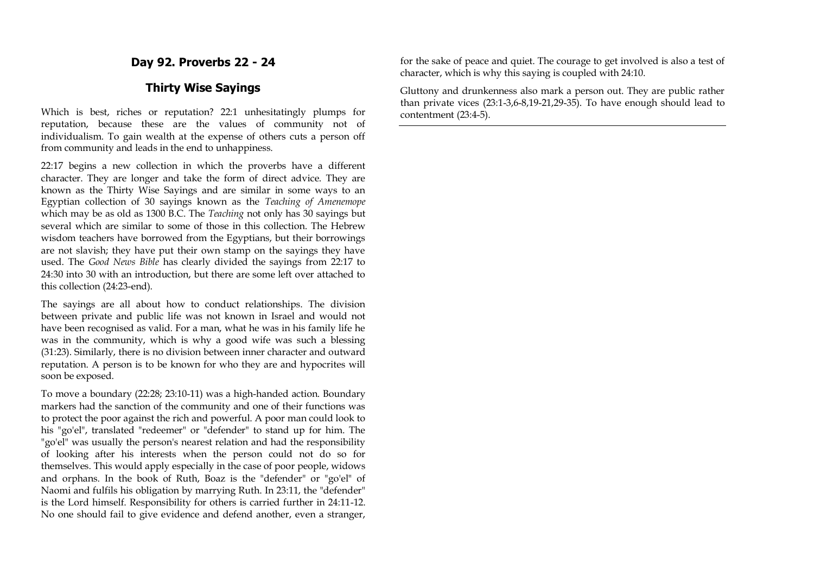**Day 92. Proverbs 22 - 24**

#### **Thirty Wise Sayings**

Which is best, riches or reputation? 22:1 unhesitatingly plumps for reputation, because these are the values of community not of individualism. To gain wealth at the expense of others cuts a person off from community and leads in the end to unhappiness.

22:17 begins a new collection in which the proverbs have a different character. They are longer and take the form of direct advice. They are known as the Thirty Wise Sayings and are similar in some ways to an Egyptian collection of 30 sayings known as the *Teaching of Amenemope* which may be as old as 1300 B.C. The *Teaching* not only has 30 sayings but several which are similar to some of those in this collection. The Hebrew wisdom teachers have borrowed from the Egyptians, but their borrowings are not slavish; they have put their own stamp on the sayings they have used. The *Good News Bible* has clearly divided the sayings from 22:17 to 24:30 into 30 with an introduction, but there are some left over attached to this collection (24:23-end).

The sayings are all about how to conduct relationships. The division between private and public life was not known in Israel and would not have been recognised as valid. For a man, what he was in his family life he was in the community, which is why a good wife was such a blessing (31:23). Similarly, there is no division between inner character and outward reputation. A person is to be known for who they are and hypocrites will soon be exposed.

To move a boundary (22:28; 23:10-11) was a high-handed action. Boundary markers had the sanction of the community and one of their functions was to protect the poor against the rich and powerful. A poor man could look to his "go'el", translated "redeemer" or "defender" to stand up for him. The "go'el" was usually the person's nearest relation and had the responsibility of looking after his interests when the person could not do so for themselves. This would apply especially in the case of poor people, widows and orphans. In the book of Ruth, Boaz is the "defender" or "go'el" of Naomi and fulfils his obligation by marrying Ruth. In 23:11, the "defender" is the Lord himself. Responsibility for others is carried further in 24:11-12. No one should fail to give evidence and defend another, even a stranger, for the sake of peace and quiet. The courage to get involved is also a test of character, which is why this saying is coupled with 24:10.

Gluttony and drunkenness also mark a person out. They are public rather than private vices (23:1-3,6-8,19-21,29-35). To have enough should lead to contentment (23:4-5).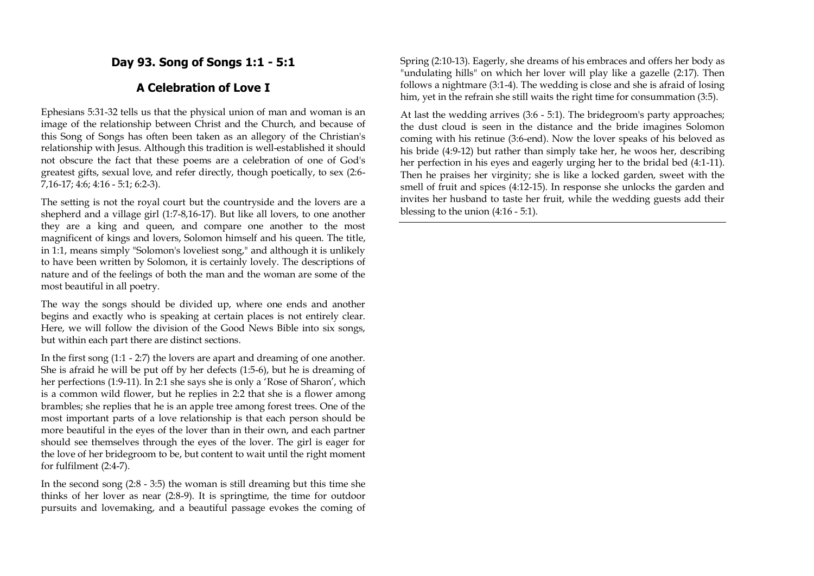## **Day 93. Song of Songs 1:1 - 5:1**

## **A Celebration of Love I**

Ephesians 5:31-32 tells us that the physical union of man and woman is an image of the relationship between Christ and the Church, and because of this Song of Songs has often been taken as an allegory of the Christian's relationship with Jesus. Although this tradition is well-established it should not obscure the fact that these poems are a celebration of one of God's greatest gifts, sexual love, and refer directly, though poetically, to sex (2:6- 7,16-17; 4:6; 4:16 - 5:1; 6:2-3).

The setting is not the royal court but the countryside and the lovers are a shepherd and a village girl (1:7-8,16-17). But like all lovers, to one another they are a king and queen, and compare one another to the most magnificent of kings and lovers, Solomon himself and his queen. The title, in 1:1, means simply "Solomon's loveliest song," and although it is unlikely to have been written by Solomon, it is certainly lovely. The descriptions of nature and of the feelings of both the man and the woman are some of the most beautiful in all poetry.

The way the songs should be divided up, where one ends and another begins and exactly who is speaking at certain places is not entirely clear. Here, we will follow the division of the Good News Bible into six songs, but within each part there are distinct sections.

In the first song (1:1 - 2:7) the lovers are apart and dreaming of one another. She is afraid he will be put off by her defects (1:5-6), but he is dreaming of her perfections (1:9-11). In 2:1 she says she is only a 'Rose of Sharon', which is a common wild flower, but he replies in 2:2 that she is a flower among brambles; she replies that he is an apple tree among forest trees. One of the most important parts of a love relationship is that each person should be more beautiful in the eyes of the lover than in their own, and each partner should see themselves through the eyes of the lover. The girl is eager for the love of her bridegroom to be, but content to wait until the right moment for fulfilment (2:4-7).

In the second song (2:8 - 3:5) the woman is still dreaming but this time she thinks of her lover as near (2:8-9). It is springtime, the time for outdoor pursuits and lovemaking, and a beautiful passage evokes the coming of

Spring (2:10-13). Eagerly, she dreams of his embraces and offers her body as "undulating hills" on which her lover will play like a gazelle (2:17). Then follows a nightmare (3:1-4). The wedding is close and she is afraid of losing him, yet in the refrain she still waits the right time for consummation (3:5).

At last the wedding arrives (3:6 - 5:1). The bridegroom's party approaches; the dust cloud is seen in the distance and the bride imagines Solomon coming with his retinue (3:6-end). Now the lover speaks of his beloved as his bride (4:9-12) but rather than simply take her, he woos her, describing her perfection in his eyes and eagerly urging her to the bridal bed (4:1-11). Then he praises her virginity; she is like a locked garden, sweet with the smell of fruit and spices (4:12-15). In response she unlocks the garden and invites her husband to taste her fruit, while the wedding guests add their blessing to the union (4:16 - 5:1).